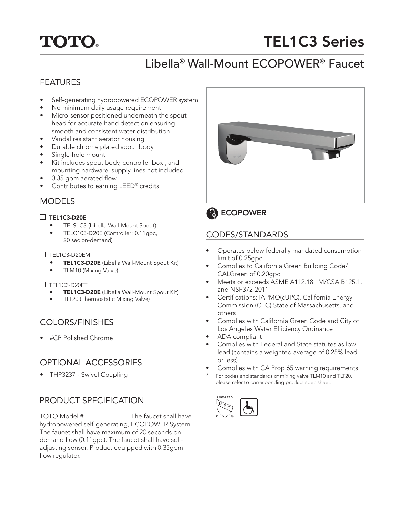# **TOTO**

# TEL1C3 Series

## Libella® Wall-Mount ECOPOWER® Faucet

#### FEATURES

- Self-generating hydropowered ECOPOWER system
- No minimum daily usage requirement
- Micro-sensor positioned underneath the spout head for accurate hand detection ensuring smooth and consistent water distribution
- Vandal resistant aerator housing
- Durable chrome plated spout body
- Single-hole mount
- Kit includes spout body, controller box , and mounting hardware; supply lines not included
- 0.35 gpm aerated flow
- Contributes to earning LEED® credits

#### MODELS

#### TEL1C3-D20E

- TELS1C3 (Libella Wall-Mount Spout)
- TELC103-D20E (Controller: 0.11gpc, 20 sec on-demand)

#### $\Box$  TEL1C3-D20EM

- TEL1C3-D20E (Libella Wall-Mount Spout Kit)
- TLM10 (Mixing Valve)

#### $\Box$  TEL1C3-D20ET

- TEL1C3-D20E (Libella Wall-Mount Spout Kit)
- TLT20 (Thermostatic Mixing Valve)

#### COLORS/FINISHES

• #CP Polished Chrome

#### OPTIONAL ACCESSORIES

• THP3237 - Swivel Coupling

#### PRODUCT SPECIFICATION

TOTO Model #\_\_\_\_\_\_\_\_\_\_\_\_\_\_ The faucet shall have hydropowered self-generating, ECOPOWER System. The faucet shall have maximum of 20 seconds ondemand flow (0.11gpc). The faucet shall have selfadjusting sensor. Product equipped with 0.35gpm flow regulator.





#### CODES/STANDARDS

- Operates below federally mandated consumption limit of 0.25gpc
- Complies to California Green Building Code/ CALGreen of 0.20gpc
- Meets or exceeds ASME A112.18.1M/CSA B125.1, and NSF372-2011
- Certifications: IAPMO(cUPC), California Energy Commission (CEC) State of Massachusetts, and others
- Complies with California Green Code and City of Los Angeles Water Efficiency Ordinance
- ADA compliant
- Complies with Federal and State statutes as lowlead (contains a weighted average of 0.25% lead or less)
- Complies with CA Prop 65 warning requirements
- For codes and standards of mixing valve TLM10 and TLT20, please refer to corresponding product spec sheet.